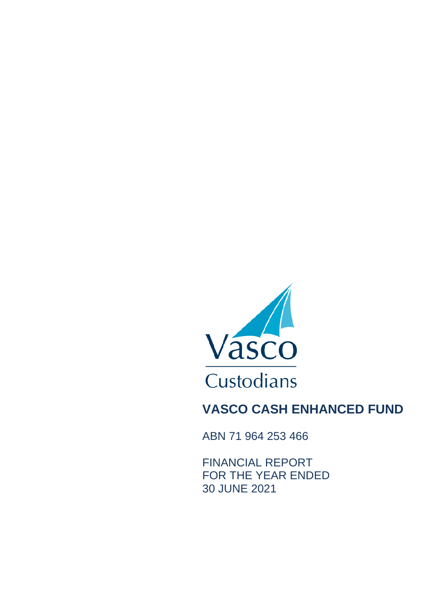

ABN 71 964 253 466

FINANCIAL REPORT FOR THE YEAR ENDED 30 JUNE 2021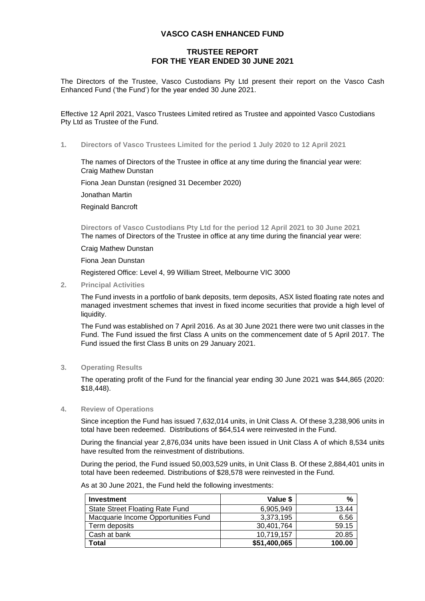## **TRUSTEE REPORT FOR THE YEAR ENDED 30 JUNE 2021**

The Directors of the Trustee, Vasco Custodians Pty Ltd present their report on the Vasco Cash Enhanced Fund ('the Fund') for the year ended 30 June 2021.

Effective 12 April 2021, Vasco Trustees Limited retired as Trustee and appointed Vasco Custodians Pty Ltd as Trustee of the Fund.

**1. Directors of Vasco Trustees Limited for the period 1 July 2020 to 12 April 2021**

The names of Directors of the Trustee in office at any time during the financial year were: Craig Mathew Dunstan

Fiona Jean Dunstan (resigned 31 December 2020)

Jonathan Martin

Reginald Bancroft

**Directors of Vasco Custodians Pty Ltd for the period 12 April 2021 to 30 June 2021** The names of Directors of the Trustee in office at any time during the financial year were:

Craig Mathew Dunstan

Fiona Jean Dunstan

Registered Office: Level 4, 99 William Street, Melbourne VIC 3000

**2. Principal Activities**

The Fund invests in a portfolio of bank deposits, term deposits, ASX listed floating rate notes and managed investment schemes that invest in fixed income securities that provide a high level of liquidity.

The Fund was established on 7 April 2016. As at 30 June 2021 there were two unit classes in the Fund. The Fund issued the first Class A units on the commencement date of 5 April 2017. The Fund issued the first Class B units on 29 January 2021.

#### **3. Operating Results**

The operating profit of the Fund for the financial year ending 30 June 2021 was \$44,865 (2020: \$18,448).

#### **4. Review of Operations**

Since inception the Fund has issued 7,632,014 units, in Unit Class A. Of these 3,238,906 units in total have been redeemed. Distributions of \$64,514 were reinvested in the Fund.

During the financial year 2,876,034 units have been issued in Unit Class A of which 8,534 units have resulted from the reinvestment of distributions.

During the period, the Fund issued 50,003,529 units, in Unit Class B. Of these 2,884,401 units in total have been redeemed. Distributions of \$28,578 were reinvested in the Fund.

| <b>Investment</b>                   | Value \$     | %      |
|-------------------------------------|--------------|--------|
| State Street Floating Rate Fund     | 6.905.949    | 13.44  |
| Macquarie Income Opportunities Fund | 3,373,195    | 6.56   |
| Term deposits                       | 30,401,764   | 59.15  |
| Cash at bank                        | 10,719,157   | 20.85  |
| Total                               | \$51,400,065 | 100.00 |

As at 30 June 2021, the Fund held the following investments: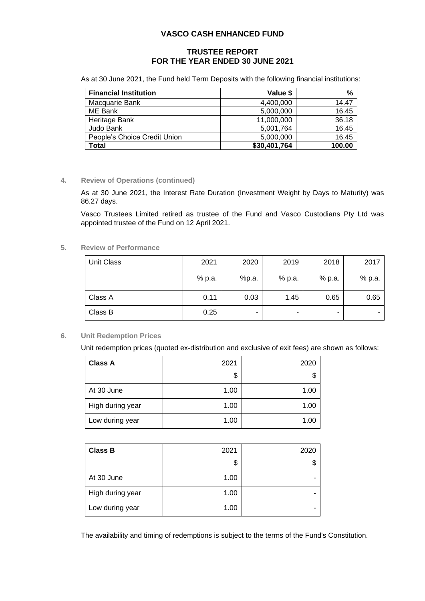## **TRUSTEE REPORT FOR THE YEAR ENDED 30 JUNE 2021**

As at 30 June 2021, the Fund held Term Deposits with the following financial institutions:

| <b>Financial Institution</b> | Value \$     | %      |
|------------------------------|--------------|--------|
| Macquarie Bank               | 4,400,000    | 14.47  |
| ME Bank                      | 5,000,000    | 16.45  |
| Heritage Bank                | 11,000,000   | 36.18  |
| Judo Bank                    | 5,001,764    | 16.45  |
| People's Choice Credit Union | 5,000,000    | 16.45  |
| Total                        | \$30,401,764 | 100.00 |

#### **4. Review of Operations (continued)**

As at 30 June 2021, the Interest Rate Duration (Investment Weight by Days to Maturity) was 86.27 days.

Vasco Trustees Limited retired as trustee of the Fund and Vasco Custodians Pty Ltd was appointed trustee of the Fund on 12 April 2021.

### **5. Review of Performance**

| Unit Class | 2021   | 2020  | 2019   | 2018   | 2017   |
|------------|--------|-------|--------|--------|--------|
|            | % p.a. | %p.a. | % p.a. | % p.a. | % p.a. |
| Class A    | 0.11   | 0.03  | 1.45   | 0.65   | 0.65   |
| Class B    | 0.25   | -     | -      | -      |        |

#### **6. Unit Redemption Prices**

Unit redemption prices (quoted ex-distribution and exclusive of exit fees) are shown as follows:

| <b>Class A</b>   | 2021 | 2020 |
|------------------|------|------|
|                  | \$   | \$   |
| At 30 June       | 1.00 | 1.00 |
| High during year | 1.00 | 1.00 |
| Low during year  | 1.00 | 1.00 |

| <b>Class B</b>   | 2021 | 2020 |
|------------------|------|------|
|                  | \$   | \$   |
| At 30 June       | 1.00 | -    |
| High during year | 1.00 | -    |
| Low during year  | 1.00 | -    |

The availability and timing of redemptions is subject to the terms of the Fund's Constitution.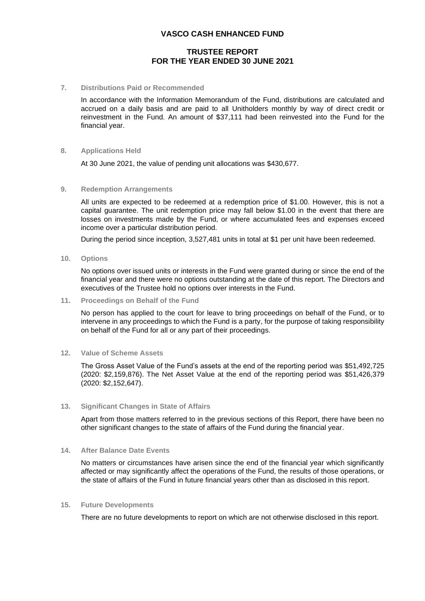## **TRUSTEE REPORT FOR THE YEAR ENDED 30 JUNE 2021**

#### **7. Distributions Paid or Recommended**

In accordance with the Information Memorandum of the Fund, distributions are calculated and accrued on a daily basis and are paid to all Unitholders monthly by way of direct credit or reinvestment in the Fund. An amount of \$37,111 had been reinvested into the Fund for the financial year.

#### **8. Applications Held**

At 30 June 2021, the value of pending unit allocations was \$430,677.

#### **9. Redemption Arrangements**

All units are expected to be redeemed at a redemption price of \$1.00. However, this is not a capital guarantee. The unit redemption price may fall below \$1.00 in the event that there are losses on investments made by the Fund, or where accumulated fees and expenses exceed income over a particular distribution period.

During the period since inception, 3,527,481 units in total at \$1 per unit have been redeemed.

**10. Options**

No options over issued units or interests in the Fund were granted during or since the end of the financial year and there were no options outstanding at the date of this report. The Directors and executives of the Trustee hold no options over interests in the Fund.

**11. Proceedings on Behalf of the Fund**

No person has applied to the court for leave to bring proceedings on behalf of the Fund, or to intervene in any proceedings to which the Fund is a party, for the purpose of taking responsibility on behalf of the Fund for all or any part of their proceedings.

#### **12. Value of Scheme Assets**

The Gross Asset Value of the Fund's assets at the end of the reporting period was \$51,492,725 (2020: \$2,159,876). The Net Asset Value at the end of the reporting period was \$51,426,379 (2020: \$2,152,647).

#### **13. Significant Changes in State of Affairs**

Apart from those matters referred to in the previous sections of this Report, there have been no other significant changes to the state of affairs of the Fund during the financial year.

#### **14. After Balance Date Events**

No matters or circumstances have arisen since the end of the financial year which significantly affected or may significantly affect the operations of the Fund, the results of those operations, or the state of affairs of the Fund in future financial years other than as disclosed in this report.

#### **15. Future Developments**

There are no future developments to report on which are not otherwise disclosed in this report.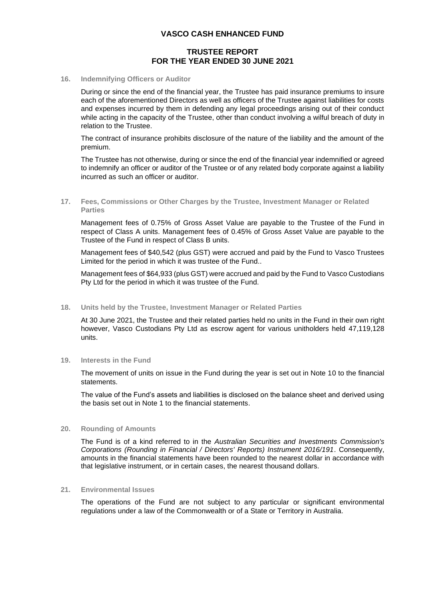### **TRUSTEE REPORT FOR THE YEAR ENDED 30 JUNE 2021**

#### **16. Indemnifying Officers or Auditor**

During or since the end of the financial year, the Trustee has paid insurance premiums to insure each of the aforementioned Directors as well as officers of the Trustee against liabilities for costs and expenses incurred by them in defending any legal proceedings arising out of their conduct while acting in the capacity of the Trustee, other than conduct involving a wilful breach of duty in relation to the Trustee.

The contract of insurance prohibits disclosure of the nature of the liability and the amount of the premium.

The Trustee has not otherwise, during or since the end of the financial year indemnified or agreed to indemnify an officer or auditor of the Trustee or of any related body corporate against a liability incurred as such an officer or auditor.

**17. Fees, Commissions or Other Charges by the Trustee, Investment Manager or Related Parties**

Management fees of 0.75% of Gross Asset Value are payable to the Trustee of the Fund in respect of Class A units. Management fees of 0.45% of Gross Asset Value are payable to the Trustee of the Fund in respect of Class B units.

Management fees of \$40,542 (plus GST) were accrued and paid by the Fund to Vasco Trustees Limited for the period in which it was trustee of the Fund..

Management fees of \$64,933 (plus GST) were accrued and paid by the Fund to Vasco Custodians Pty Ltd for the period in which it was trustee of the Fund.

**18. Units held by the Trustee, Investment Manager or Related Parties**

At 30 June 2021, the Trustee and their related parties held no units in the Fund in their own right however, Vasco Custodians Pty Ltd as escrow agent for various unitholders held 47,119,128 units.

#### **19. Interests in the Fund**

The movement of units on issue in the Fund during the year is set out in Note 10 to the financial statements.

The value of the Fund's assets and liabilities is disclosed on the balance sheet and derived using the basis set out in Note 1 to the financial statements.

#### **20. Rounding of Amounts**

The Fund is of a kind referred to in the *Australian Securities and Investments Commission's Corporations (Rounding in Financial / Directors' Reports) Instrument 2016/191*. Consequently, amounts in the financial statements have been rounded to the nearest dollar in accordance with that legislative instrument, or in certain cases, the nearest thousand dollars.

#### **21. Environmental Issues**

The operations of the Fund are not subject to any particular or significant environmental regulations under a law of the Commonwealth or of a State or Territory in Australia.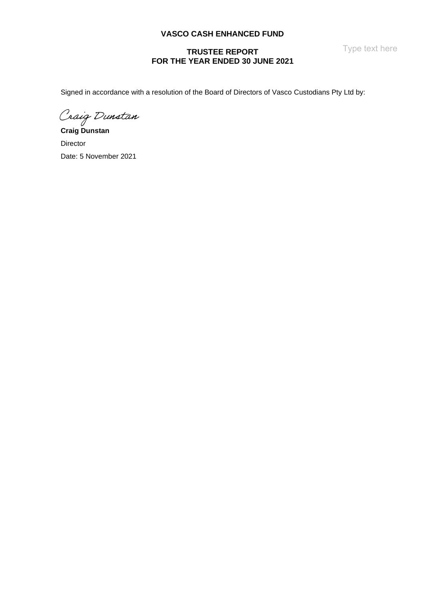Type text here

## **TRUSTEE REPORT FOR THE YEAR ENDED 30 JUNE 2021**

Signed in accordance with a resolution of the Board of Directors of Vasco Custodians Pty Ltd by:

Craig Dunstan

**Craig Dunstan** Director Date: 5 November 2021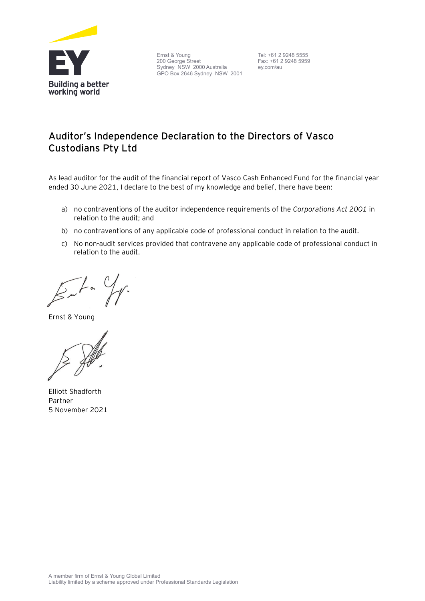

Ernst & Young 200 George Street Sydney NSW 2000 Australia GPO Box 2646 Sydney NSW 2001

Tel: +61 2 9248 5555 Fax: +61 2 9248 5959 ey.com/au

## **Auditor's Independence Declaration to the Directors of Vasco Custodians Pty Ltd**

As lead auditor for the audit of the financial report of Vasco Cash Enhanced Fund for the financial year ended 30 June 2021, I declare to the best of my knowledge and belief, there have been:

- a) no contraventions of the auditor independence requirements of the *Corporations Act 2001* in relation to the audit; and
- b) no contraventions of any applicable code of professional conduct in relation to the audit.
- c) No non-audit services provided that contravene any applicable code of professional conduct in relation to the audit.

 $\gamma$  $\frac{1}{2}$ 

Ernst & Young

Elliott Shadforth Partner 5 November 2021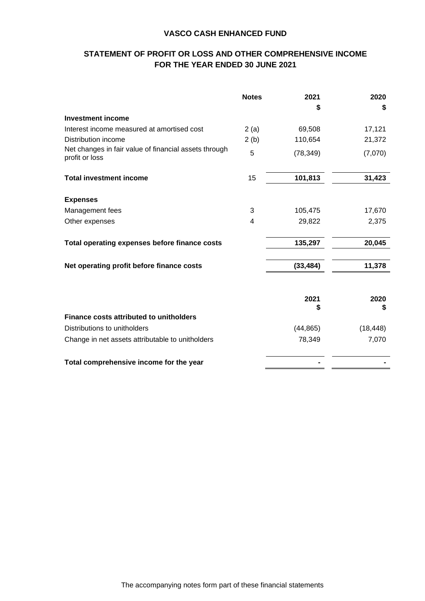## **STATEMENT OF PROFIT OR LOSS AND OTHER COMPREHENSIVE INCOME FOR THE YEAR ENDED 30 JUNE 2021**

|                                                                         | <b>Notes</b> | 2021      | 2020      |
|-------------------------------------------------------------------------|--------------|-----------|-----------|
|                                                                         |              | S         | \$        |
| <b>Investment income</b>                                                |              |           |           |
| Interest income measured at amortised cost                              | 2(a)         | 69,508    | 17,121    |
| Distribution income                                                     | 2(b)         | 110,654   | 21,372    |
| Net changes in fair value of financial assets through<br>profit or loss | 5            | (78, 349) | (7,070)   |
| <b>Total investment income</b>                                          | 15           | 101,813   | 31,423    |
| <b>Expenses</b>                                                         |              |           |           |
| Management fees                                                         | 3            | 105,475   | 17,670    |
| Other expenses                                                          | 4            | 29,822    | 2,375     |
| Total operating expenses before finance costs                           |              | 135,297   | 20,045    |
| Net operating profit before finance costs                               |              | (33, 484) | 11,378    |
|                                                                         |              | 2021<br>S | 2020<br>S |
| <b>Finance costs attributed to unitholders</b>                          |              |           |           |
| Distributions to unitholders                                            |              | (44, 865) | (18, 448) |
| Change in net assets attributable to unitholders                        |              | 78,349    | 7,070     |
| Total comprehensive income for the year                                 |              |           |           |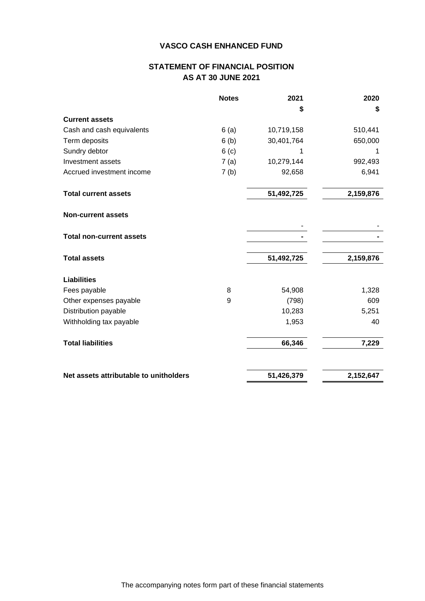## **STATEMENT OF FINANCIAL POSITION AS AT 30 JUNE 2021**

|                                        | <b>Notes</b>     | 2021       | 2020      |
|----------------------------------------|------------------|------------|-----------|
|                                        |                  | \$         | \$        |
| <b>Current assets</b>                  |                  |            |           |
| Cash and cash equivalents              | 6(a)             | 10,719,158 | 510,441   |
| Term deposits                          | 6(b)             | 30,401,764 | 650,000   |
| Sundry debtor                          | 6 <sub>(c)</sub> | 1          | 1         |
| Investment assets                      | 7(a)             | 10,279,144 | 992,493   |
| Accrued investment income              | 7(b)             | 92,658     | 6,941     |
| <b>Total current assets</b>            |                  | 51,492,725 | 2,159,876 |
| <b>Non-current assets</b>              |                  |            |           |
| <b>Total non-current assets</b>        |                  |            |           |
| <b>Total assets</b>                    |                  | 51,492,725 | 2,159,876 |
| <b>Liabilities</b>                     |                  |            |           |
| Fees payable                           | 8                | 54,908     | 1,328     |
| Other expenses payable                 | 9                | (798)      | 609       |
| Distribution payable                   |                  | 10,283     | 5,251     |
| Withholding tax payable                |                  | 1,953      | 40        |
| <b>Total liabilities</b>               |                  | 66,346     | 7,229     |
| Net assets attributable to unitholders |                  | 51,426,379 | 2,152,647 |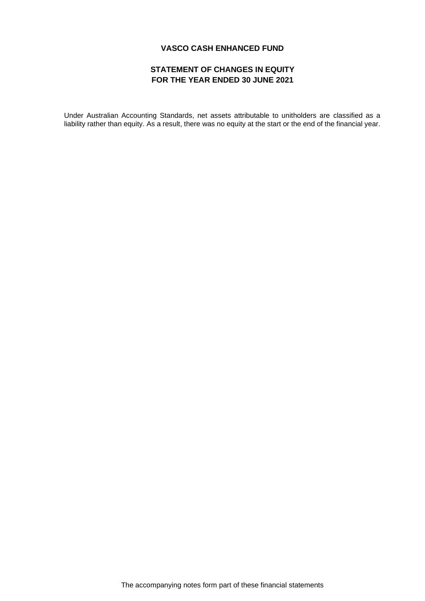## **STATEMENT OF CHANGES IN EQUITY FOR THE YEAR ENDED 30 JUNE 2021**

Under Australian Accounting Standards, net assets attributable to unitholders are classified as a liability rather than equity. As a result, there was no equity at the start or the end of the financial year.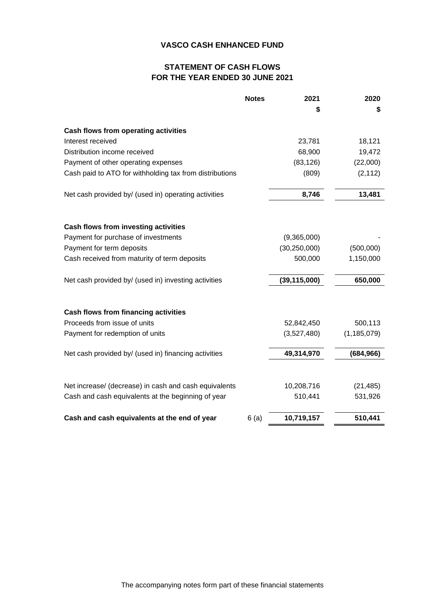## **STATEMENT OF CASH FLOWS FOR THE YEAR ENDED 30 JUNE 2021**

|                                                         | <b>Notes</b> | 2021           | 2020          |
|---------------------------------------------------------|--------------|----------------|---------------|
|                                                         |              | S              | \$            |
| Cash flows from operating activities                    |              |                |               |
| Interest received                                       |              | 23,781         | 18,121        |
| Distribution income received                            |              | 68,900         | 19,472        |
| Payment of other operating expenses                     |              | (83, 126)      | (22,000)      |
| Cash paid to ATO for withholding tax from distributions |              | (809)          | (2, 112)      |
| Net cash provided by/ (used in) operating activities    |              | 8,746          | 13,481        |
|                                                         |              |                |               |
| Cash flows from investing activities                    |              |                |               |
| Payment for purchase of investments                     |              | (9,365,000)    |               |
| Payment for term deposits                               |              | (30, 250, 000) | (500,000)     |
| Cash received from maturity of term deposits            |              | 500,000        | 1,150,000     |
| Net cash provided by/ (used in) investing activities    |              | (39, 115, 000) | 650,000       |
| Cash flows from financing activities                    |              |                |               |
| Proceeds from issue of units                            |              | 52,842,450     | 500,113       |
| Payment for redemption of units                         |              | (3,527,480)    | (1, 185, 079) |
| Net cash provided by/ (used in) financing activities    |              | 49,314,970     | (684, 966)    |
|                                                         |              |                |               |
| Net increase/ (decrease) in cash and cash equivalents   |              | 10,208,716     | (21, 485)     |
| Cash and cash equivalents at the beginning of year      |              | 510,441        | 531,926       |
| Cash and cash equivalents at the end of year            | 6(a)         | 10,719,157     | 510,441       |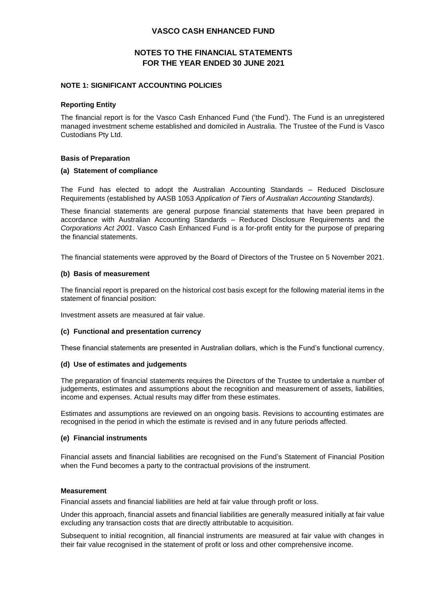## **NOTES TO THE FINANCIAL STATEMENTS FOR THE YEAR ENDED 30 JUNE 2021**

#### **NOTE 1: SIGNIFICANT ACCOUNTING POLICIES**

#### **Reporting Entity**

The financial report is for the Vasco Cash Enhanced Fund ('the Fund'). The Fund is an unregistered managed investment scheme established and domiciled in Australia. The Trustee of the Fund is Vasco Custodians Pty Ltd.

#### **Basis of Preparation**

#### **(a) Statement of compliance**

The Fund has elected to adopt the Australian Accounting Standards – Reduced Disclosure Requirements (established by AASB 1053 *Application of Tiers of Australian Accounting Standards)*.

These financial statements are general purpose financial statements that have been prepared in accordance with Australian Accounting Standards – Reduced Disclosure Requirements and the *Corporations Act 2001*. Vasco Cash Enhanced Fund is a for-profit entity for the purpose of preparing the financial statements.

The financial statements were approved by the Board of Directors of the Trustee on 5 November 2021.

#### **(b) Basis of measurement**

The financial report is prepared on the historical cost basis except for the following material items in the statement of financial position:

Investment assets are measured at fair value.

#### **(c) Functional and presentation currency**

These financial statements are presented in Australian dollars, which is the Fund's functional currency.

#### **(d) Use of estimates and judgements**

The preparation of financial statements requires the Directors of the Trustee to undertake a number of judgements, estimates and assumptions about the recognition and measurement of assets, liabilities, income and expenses. Actual results may differ from these estimates.

Estimates and assumptions are reviewed on an ongoing basis. Revisions to accounting estimates are recognised in the period in which the estimate is revised and in any future periods affected.

#### **(e) Financial instruments**

Financial assets and financial liabilities are recognised on the Fund's Statement of Financial Position when the Fund becomes a party to the contractual provisions of the instrument.

#### **Measurement**

Financial assets and financial liabilities are held at fair value through profit or loss.

Under this approach, financial assets and financial liabilities are generally measured initially at fair value excluding any transaction costs that are directly attributable to acquisition.

Subsequent to initial recognition, all financial instruments are measured at fair value with changes in their fair value recognised in the statement of profit or loss and other comprehensive income.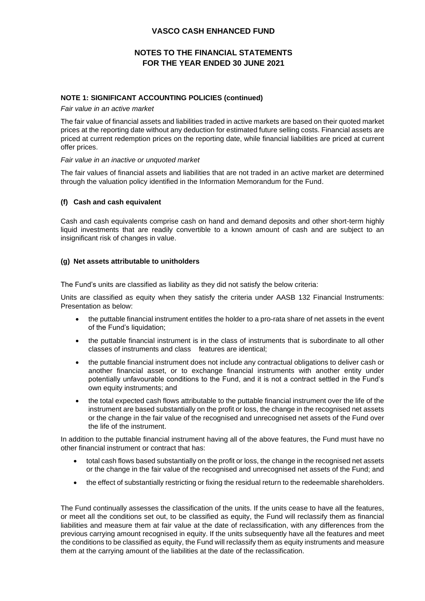## **NOTES TO THE FINANCIAL STATEMENTS FOR THE YEAR ENDED 30 JUNE 2021**

### **NOTE 1: SIGNIFICANT ACCOUNTING POLICIES (continued)**

*Fair value in an active market*

The fair value of financial assets and liabilities traded in active markets are based on their quoted market prices at the reporting date without any deduction for estimated future selling costs. Financial assets are priced at current redemption prices on the reporting date, while financial liabilities are priced at current offer prices.

#### *Fair value in an inactive or unquoted market*

The fair values of financial assets and liabilities that are not traded in an active market are determined through the valuation policy identified in the Information Memorandum for the Fund.

#### **(f) Cash and cash equivalent**

Cash and cash equivalents comprise cash on hand and demand deposits and other short-term highly liquid investments that are readily convertible to a known amount of cash and are subject to an insignificant risk of changes in value.

#### **(g) Net assets attributable to unitholders**

The Fund's units are classified as liability as they did not satisfy the below criteria:

Units are classified as equity when they satisfy the criteria under AASB 132 Financial Instruments: Presentation as below:

- the puttable financial instrument entitles the holder to a pro-rata share of net assets in the event of the Fund's liquidation;
- the puttable financial instrument is in the class of instruments that is subordinate to all other classes of instruments and class features are identical;
- the puttable financial instrument does not include any contractual obligations to deliver cash or another financial asset, or to exchange financial instruments with another entity under potentially unfavourable conditions to the Fund, and it is not a contract settled in the Fund's own equity instruments; and
- the total expected cash flows attributable to the puttable financial instrument over the life of the instrument are based substantially on the profit or loss, the change in the recognised net assets or the change in the fair value of the recognised and unrecognised net assets of the Fund over the life of the instrument.

In addition to the puttable financial instrument having all of the above features, the Fund must have no other financial instrument or contract that has:

- total cash flows based substantially on the profit or loss, the change in the recognised net assets or the change in the fair value of the recognised and unrecognised net assets of the Fund; and
- the effect of substantially restricting or fixing the residual return to the redeemable shareholders.

The Fund continually assesses the classification of the units. If the units cease to have all the features, or meet all the conditions set out, to be classified as equity, the Fund will reclassify them as financial liabilities and measure them at fair value at the date of reclassification, with any differences from the previous carrying amount recognised in equity. If the units subsequently have all the features and meet the conditions to be classified as equity, the Fund will reclassify them as equity instruments and measure them at the carrying amount of the liabilities at the date of the reclassification.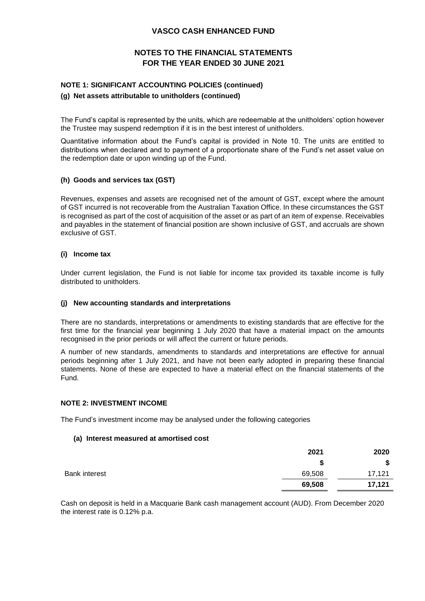## **NOTES TO THE FINANCIAL STATEMENTS FOR THE YEAR ENDED 30 JUNE 2021**

## **NOTE 1: SIGNIFICANT ACCOUNTING POLICIES (continued) (g) Net assets attributable to unitholders (continued)**

The Fund's capital is represented by the units, which are redeemable at the unitholders' option however the Trustee may suspend redemption if it is in the best interest of unitholders.

Quantitative information about the Fund's capital is provided in Note 10. The units are entitled to distributions when declared and to payment of a proportionate share of the Fund's net asset value on the redemption date or upon winding up of the Fund.

#### **(h) Goods and services tax (GST)**

Revenues, expenses and assets are recognised net of the amount of GST, except where the amount of GST incurred is not recoverable from the Australian Taxation Office. In these circumstances the GST is recognised as part of the cost of acquisition of the asset or as part of an item of expense. Receivables and payables in the statement of financial position are shown inclusive of GST, and accruals are shown exclusive of GST.

#### **(i) Income tax**

Under current legislation, the Fund is not liable for income tax provided its taxable income is fully distributed to unitholders.

#### **(j) New accounting standards and interpretations**

There are no standards, interpretations or amendments to existing standards that are effective for the first time for the financial year beginning 1 July 2020 that have a material impact on the amounts recognised in the prior periods or will affect the current or future periods.

A number of new standards, amendments to standards and interpretations are effective for annual periods beginning after 1 July 2021, and have not been early adopted in preparing these financial statements. None of these are expected to have a material effect on the financial statements of the Fund.

#### **NOTE 2: INVESTMENT INCOME**

The Fund's investment income may be analysed under the following categories

#### **(a) Interest measured at amortised cost**

|                      | 2021   | 2020   |
|----------------------|--------|--------|
|                      | œ<br>Ð | \$     |
| <b>Bank interest</b> | 69,508 | 17,121 |
|                      | 69,508 | 17,121 |

Cash on deposit is held in a Macquarie Bank cash management account (AUD). From December 2020 the interest rate is 0.12% p.a.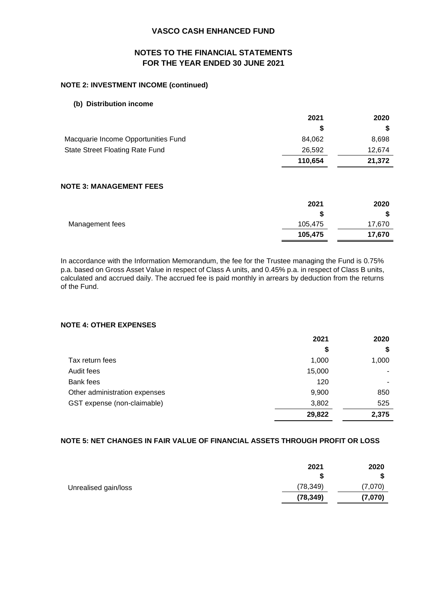## **NOTES TO THE FINANCIAL STATEMENTS FOR THE YEAR ENDED 30 JUNE 2021**

## **NOTE 2: INVESTMENT INCOME (continued)**

#### **(b) Distribution income**

|                                     | 2021    | 2020   |
|-------------------------------------|---------|--------|
|                                     |         |        |
| Macquarie Income Opportunities Fund | 84.062  | 8,698  |
| State Street Floating Rate Fund     | 26,592  | 12.674 |
|                                     | 110.654 | 21,372 |

### **NOTE 3: MANAGEMENT FEES**

|                 | 2021    | 2020   |
|-----------------|---------|--------|
|                 |         | D      |
| Management fees | 105,475 | 17,670 |
|                 | 105,475 | 17,670 |

In accordance with the Information Memorandum, the fee for the Trustee managing the Fund is 0.75% p.a. based on Gross Asset Value in respect of Class A units, and 0.45% p.a. in respect of Class B units, calculated and accrued daily. The accrued fee is paid monthly in arrears by deduction from the returns of the Fund.

## **NOTE 4: OTHER EXPENSES**

|                               | 2021   | 2020  |
|-------------------------------|--------|-------|
|                               | \$     | \$    |
| Tax return fees               | 1,000  | 1,000 |
| Audit fees                    | 15,000 |       |
| Bank fees                     | 120    |       |
| Other administration expenses | 9,900  | 850   |
| GST expense (non-claimable)   | 3,802  | 525   |
|                               | 29,822 | 2,375 |

#### **NOTE 5: NET CHANGES IN FAIR VALUE OF FINANCIAL ASSETS THROUGH PROFIT OR LOSS**

|                      | 2021<br>S | 2020<br>\$ |
|----------------------|-----------|------------|
| Unrealised gain/loss | (78, 349) | (7,070)    |
|                      | (78, 349) | (7,070)    |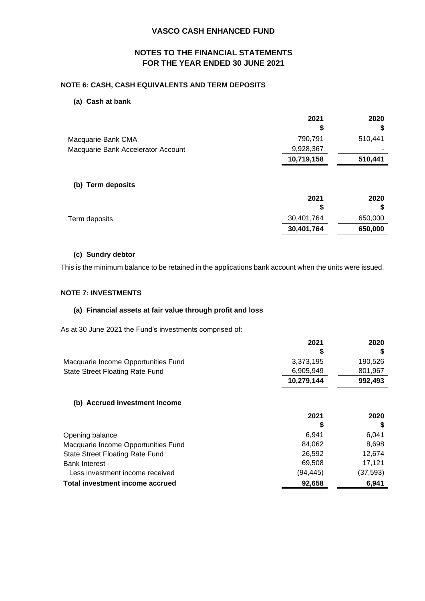## **NOTES TO THE FINANCIAL STATEMENTS FOR THE YEAR ENDED 30 JUNE 2021**

#### **NOTE 6: CASH, CASH EQUIVALENTS AND TERM DEPOSITS**

#### **(a) Cash at bank**

|                                    | 2021<br>S  | 2020<br>\$    |
|------------------------------------|------------|---------------|
| Macquarie Bank CMA                 | 790,791    | 510,441       |
| Macquarie Bank Accelerator Account | 9,928,367  |               |
|                                    | 10,719,158 | 510,441       |
| (b) Term deposits                  | 2021<br>S  | 2020          |
|                                    | 30,401,764 | \$<br>650,000 |
| Term deposits                      | 30,401,764 | 650,000       |
|                                    |            |               |

### **(c) Sundry debtor**

This is the minimum balance to be retained in the applications bank account when the units were issued.

### **NOTE 7: INVESTMENTS**

#### **(a) Financial assets at fair value through profit and loss**

As at 30 June 2021 the Fund's investments comprised of:

|                                     | 2021       | 2020    |
|-------------------------------------|------------|---------|
|                                     |            |         |
| Macquarie Income Opportunities Fund | 3.373.195  | 190.526 |
| State Street Floating Rate Fund     | 6,905,949  | 801,967 |
|                                     | 10,279,144 | 992.493 |

#### **(b) Accrued investment income**

|                                     | 2021     | 2020      |
|-------------------------------------|----------|-----------|
|                                     |          |           |
| Opening balance                     | 6.941    | 6.041     |
| Macquarie Income Opportunities Fund | 84,062   | 8,698     |
| State Street Floating Rate Fund     | 26.592   | 12,674    |
| <b>Bank Interest -</b>              | 69.508   | 17.121    |
| Less investment income received     | (94.445) | (37, 593) |
| Total investment income accrued     | 92,658   | 6.941     |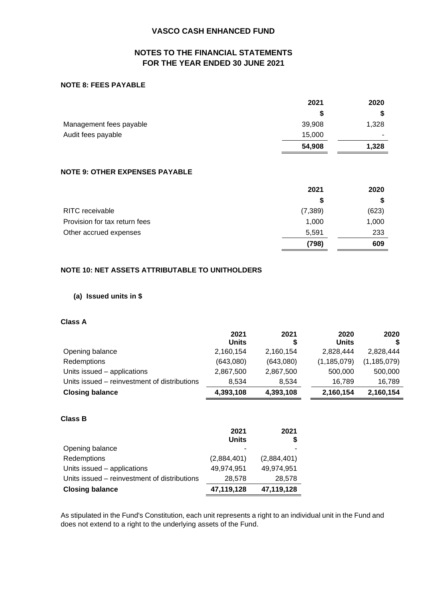## **NOTES TO THE FINANCIAL STATEMENTS FOR THE YEAR ENDED 30 JUNE 2021**

#### **NOTE 8: FEES PAYABLE**

|                         | 2021   | 2020  |
|-------------------------|--------|-------|
|                         |        |       |
| Management fees payable | 39,908 | 1,328 |
| Audit fees payable      | 15,000 |       |
|                         | 54,908 | 1,328 |

## **NOTE 9: OTHER EXPENSES PAYABLE**

|                               | 2021     | 2020  |
|-------------------------------|----------|-------|
|                               |          |       |
| <b>RITC</b> receivable        | (7, 389) | (623) |
| Provision for tax return fees | 1,000    | 1,000 |
| Other accrued expenses        | 5,591    | 233   |
|                               | (798)    | 609   |

## **NOTE 10: NET ASSETS ATTRIBUTABLE TO UNITHOLDERS**

#### **(a) Issued units in \$**

### **Class A**

|                                              | 2021<br>Units | 2021      | 2020<br>Units | 2020          |
|----------------------------------------------|---------------|-----------|---------------|---------------|
| Opening balance                              | 2,160,154     | 2,160,154 | 2,828,444     | 2,828,444     |
| Redemptions                                  | (643,080)     | (643,080) | (1, 185, 079) | (1, 185, 079) |
| Units issued - applications                  | 2,867,500     | 2,867,500 | 500,000       | 500,000       |
| Units issued – reinvestment of distributions | 8.534         | 8,534     | 16.789        | 16,789        |
| <b>Closing balance</b>                       | 4,393,108     | 4,393,108 | 2,160,154     | 2,160,154     |

### **Class B**

|                                              | 2021<br><b>Units</b> | 2021        |
|----------------------------------------------|----------------------|-------------|
| Opening balance                              |                      |             |
| Redemptions                                  | (2,884,401)          | (2,884,401) |
| Units issued - applications                  | 49,974,951           | 49,974,951  |
| Units issued – reinvestment of distributions | 28,578               | 28,578      |
| <b>Closing balance</b>                       | 47,119,128           | 47,119,128  |

As stipulated in the Fund's Constitution, each unit represents a right to an individual unit in the Fund and does not extend to a right to the underlying assets of the Fund.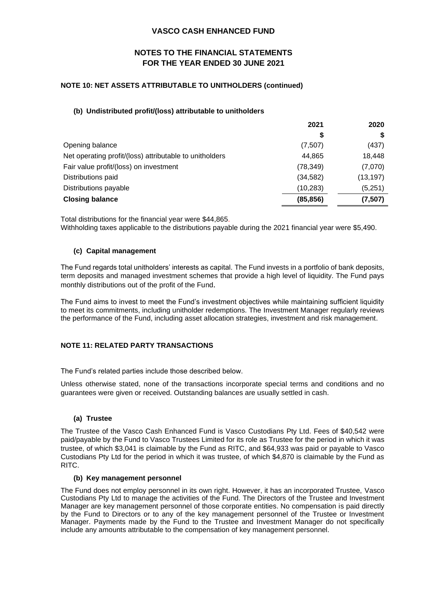## **NOTES TO THE FINANCIAL STATEMENTS FOR THE YEAR ENDED 30 JUNE 2021**

### **NOTE 10: NET ASSETS ATTRIBUTABLE TO UNITHOLDERS (continued)**

### **(b) Undistributed profit/(loss) attributable to unitholders**

| 2021      | 2020      |
|-----------|-----------|
| \$        |           |
| (7,507)   | (437)     |
| 44,865    | 18,448    |
| (78, 349) | (7,070)   |
| (34, 582) | (13, 197) |
| (10, 283) | (5,251)   |
| (85, 856) | (7, 507)  |
|           |           |

Total distributions for the financial year were \$44,865.

Withholding taxes applicable to the distributions payable during the 2021 financial year were \$5,490.

#### **(c) Capital management**

The Fund regards total unitholders' interests as capital. The Fund invests in a portfolio of bank deposits, term deposits and managed investment schemes that provide a high level of liquidity. The Fund pays monthly distributions out of the profit of the Fund.

The Fund aims to invest to meet the Fund's investment objectives while maintaining sufficient liquidity to meet its commitments, including unitholder redemptions. The Investment Manager regularly reviews the performance of the Fund, including asset allocation strategies, investment and risk management.

#### **NOTE 11: RELATED PARTY TRANSACTIONS**

The Fund's related parties include those described below.

Unless otherwise stated, none of the transactions incorporate special terms and conditions and no guarantees were given or received. Outstanding balances are usually settled in cash.

#### **(a) Trustee**

The Trustee of the Vasco Cash Enhanced Fund is Vasco Custodians Pty Ltd. Fees of \$40,542 were paid/payable by the Fund to Vasco Trustees Limited for its role as Trustee for the period in which it was trustee, of which \$3,041 is claimable by the Fund as RITC, and \$64,933 was paid or payable to Vasco Custodians Pty Ltd for the period in which it was trustee, of which \$4,870 is claimable by the Fund as RITC.

#### **(b) Key management personnel**

The Fund does not employ personnel in its own right. However, it has an incorporated Trustee, Vasco Custodians Pty Ltd to manage the activities of the Fund. The Directors of the Trustee and Investment Manager are key management personnel of those corporate entities. No compensation is paid directly by the Fund to Directors or to any of the key management personnel of the Trustee or Investment Manager. Payments made by the Fund to the Trustee and Investment Manager do not specifically include any amounts attributable to the compensation of key management personnel.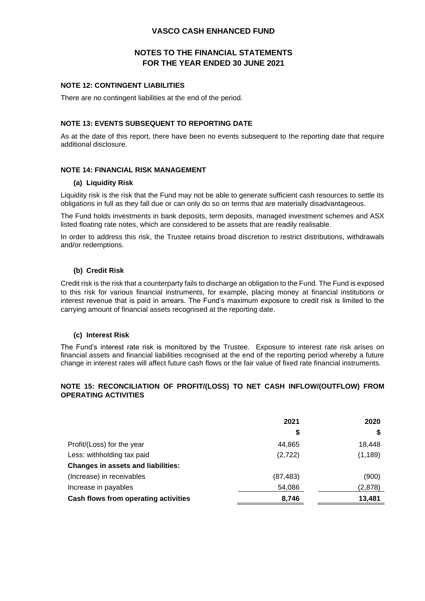## **NOTES TO THE FINANCIAL STATEMENTS FOR THE YEAR ENDED 30 JUNE 2021**

#### **NOTE 12: CONTINGENT LIABILITIES**

There are no contingent liabilities at the end of the period.

#### **NOTE 13: EVENTS SUBSEQUENT TO REPORTING DATE**

As at the date of this report, there have been no events subsequent to the reporting date that require additional disclosure.

#### **NOTE 14: FINANCIAL RISK MANAGEMENT**

#### **(a) Liquidity Risk**

Liquidity risk is the risk that the Fund may not be able to generate sufficient cash resources to settle its obligations in full as they fall due or can only do so on terms that are materially disadvantageous.

The Fund holds investments in bank deposits, term deposits, managed investment schemes and ASX listed floating rate notes, which are considered to be assets that are readily realisable.

In order to address this risk, the Trustee retains broad discretion to restrict distributions, withdrawals and/or redemptions.

#### **(b) Credit Risk**

Credit risk is the risk that a counterparty fails to discharge an obligation to the Fund. The Fund is exposed to this risk for various financial instruments, for example, placing money at financial institutions or interest revenue that is paid in arrears. The Fund's maximum exposure to credit risk is limited to the carrying amount of financial assets recognised at the reporting date.

#### **(c) Interest Risk**

The Fund's interest rate risk is monitored by the Trustee. Exposure to interest rate risk arises on financial assets and financial liabilities recognised at the end of the reporting period whereby a future change in interest rates will affect future cash flows or the fair value of fixed rate financial instruments.

#### **NOTE 15: RECONCILIATION OF PROFIT/(LOSS) TO NET CASH INFLOW/(OUTFLOW) FROM OPERATING ACTIVITIES**

|                                           | 2021      | 2020     |
|-------------------------------------------|-----------|----------|
|                                           | \$        | S        |
| Profit/(Loss) for the year                | 44,865    | 18,448   |
| Less: withholding tax paid                | (2, 722)  | (1, 189) |
| <b>Changes in assets and liabilities:</b> |           |          |
| (Increase) in receivables                 | (87, 483) | (900)    |
| Increase in payables                      | 54,086    | (2,878)  |
| Cash flows from operating activities      | 8,746     | 13,481   |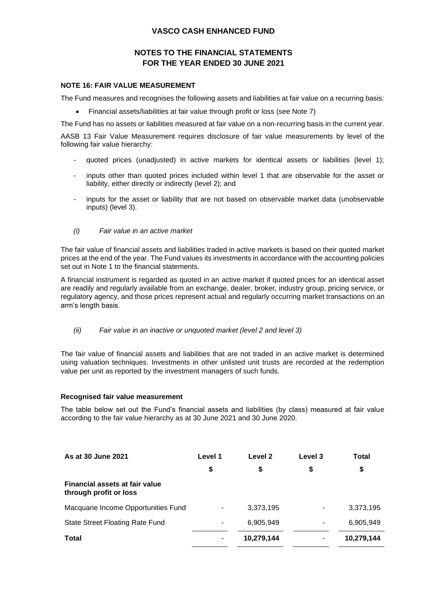## **NOTES TO THE FINANCIAL STATEMENTS FOR THE YEAR ENDED 30 JUNE 2021**

#### **NOTE 16: FAIR VALUE MEASUREMENT**

The Fund measures and recognises the following assets and liabilities at fair value on a recurring basis:

• Financial assets/liabilities at fair value through profit or loss (see Note 7)

The Fund has no assets or liabilities measured at fair value on a non-recurring basis in the current year.

AASB 13 Fair Value Measurement requires disclosure of fair value measurements by level of the following fair value hierarchy:

- quoted prices (unadjusted) in active markets for identical assets or liabilities (level 1);
- inputs other than quoted prices included within level 1 that are observable for the asset or liability, either directly or indirectly (level 2); and
- inputs for the asset or liability that are not based on observable market data (unobservable inputs) (level 3).
- *(i) Fair value in an active market*

The fair value of financial assets and liabilities traded in active markets is based on their quoted market prices at the end of the year. The Fund values its investments in accordance with the accounting policies set out in Note 1 to the financial statements.

A financial instrument is regarded as quoted in an active market if quoted prices for an identical asset are readily and regularly available from an exchange, dealer, broker, industry group, pricing service, or regulatory agency, and those prices represent actual and regularly occurring market transactions on an arm's length basis.

*(ii) Fair value in an inactive or unquoted market (level 2 and level 3)*

The fair value of financial assets and liabilities that are not traded in an active market is determined using valuation techniques. Investments in other unlisted unit trusts are recorded at the redemption value per unit as reported by the investment managers of such funds.

#### **Recognised fair value measurement**

The table below set out the Fund's financial assets and liabilities (by class) measured at fair value according to the fair value hierarchy as at 30 June 2021 and 30 June 2020.

| As at 30 June 2021                                       | Level 1 | Level 2    | Level 3        | Total      |
|----------------------------------------------------------|---------|------------|----------------|------------|
|                                                          | \$      | \$         | \$             | \$         |
| Financial assets at fair value<br>through profit or loss |         |            |                |            |
| Macquarie Income Opportunities Fund                      |         | 3,373,195  | $\blacksquare$ | 3,373,195  |
| State Street Floating Rate Fund                          |         | 6,905,949  | ۰              | 6,905,949  |
| <b>Total</b>                                             |         | 10,279,144 |                | 10,279,144 |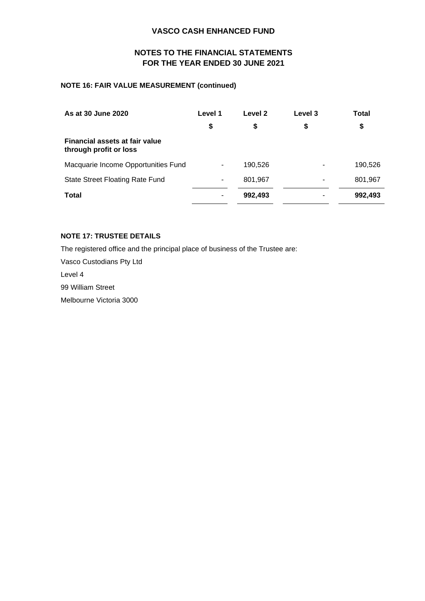## **NOTES TO THE FINANCIAL STATEMENTS FOR THE YEAR ENDED 30 JUNE 2021**

### **NOTE 16: FAIR VALUE MEASUREMENT (continued)**

| As at 30 June 2020                                              | Level 1 | Level 2 | Level 3 | Total   |
|-----------------------------------------------------------------|---------|---------|---------|---------|
|                                                                 | \$      | \$      | \$      | \$      |
| <b>Financial assets at fair value</b><br>through profit or loss |         |         |         |         |
| Macquarie Income Opportunities Fund                             |         | 190,526 |         | 190,526 |
| <b>State Street Floating Rate Fund</b>                          | ۰       | 801,967 | ۰       | 801,967 |
| Total                                                           |         | 992,493 |         | 992,493 |

## **NOTE 17: TRUSTEE DETAILS**

The registered office and the principal place of business of the Trustee are:

Vasco Custodians Pty Ltd

Level 4

99 William Street

Melbourne Victoria 3000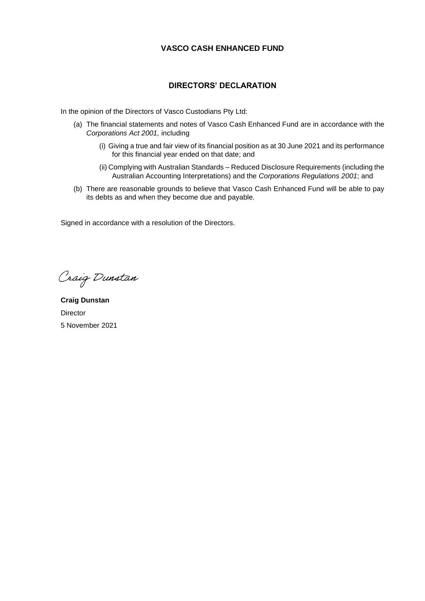## **DIRECTORS' DECLARATION**

In the opinion of the Directors of Vasco Custodians Pty Ltd:

- (a) The financial statements and notes of Vasco Cash Enhanced Fund are in accordance with the *Corporations Act 2001,* including
	- (i) Giving a true and fair view of its financial position as at 30 June 2021 and its performance for this financial year ended on that date; and
	- (ii) Complying with Australian Standards Reduced Disclosure Requirements (including the Australian Accounting Interpretations) and the *Corporations Regulations 2001*; and
- (b) There are reasonable grounds to believe that Vasco Cash Enhanced Fund will be able to pay its debts as and when they become due and payable.

Signed in accordance with a resolution of the Directors.

Craig Dunstan

**Craig Dunstan Director** 5 November 2021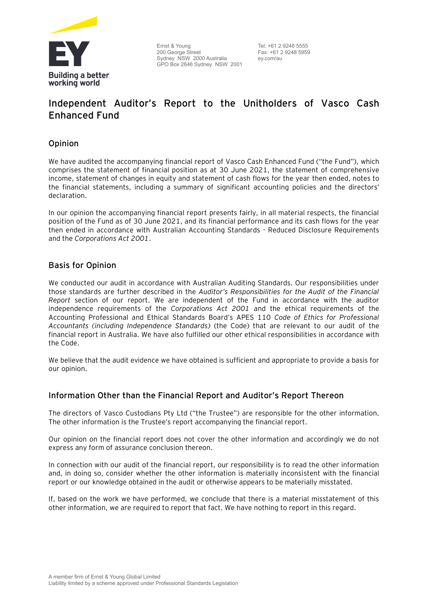

Ernst & Young 200 George Street Sydney NSW 2000 Australia GPO Box 2646 Sydney NSW 2001

Tel: +61 2 9248 5555 Fax: +61 2 9248 5959 ey.com/au

## **Independent Auditor's Report to the Unitholders of Vasco Cash Enhanced Fund**

## Opinion

We have audited the accompanying financial report of Vasco Cash Enhanced Fund ("the Fund"), which comprises the statement of financial position as at 30 June 2021, the statement of comprehensive income, statement of changes in equity and statement of cash flows for the year then ended, notes to the financial statements, including a summary of significant accounting policies and the directors' declaration.

In our opinion the accompanying financial report presents fairly, in all material respects, the financial position of the Fund as of 30 June 2021, and its financial performance and its cash flows for the year then ended in accordance with Australian Accounting Standards - Reduced Disclosure Requirements and the *Corporations Act 2001*.

## Basis for Opinion

We conducted our audit in accordance with Australian Auditing Standards. Our responsibilities under those standards are further described in the *Auditor's Responsibilities for the Audit of the Financial Report* section of our report. We are independent of the Fund in accordance with the auditor independence requirements of the *Corporations Act 2001* and the ethical requirements of the Accounting Professional and Ethical Standards Board's APES 110 *Code of Ethics for Professional Accountants (including Independence Standards)* (the Code) that are relevant to our audit of the financial report in Australia. We have also fulfilled our other ethical responsibilities in accordance with the Code.

We believe that the audit evidence we have obtained is sufficient and appropriate to provide a basis for our opinion.

## Information Other than the Financial Report and Auditor's Report Thereon

The directors of Vasco Custodians Pty Ltd ("the Trustee") are responsible for the other information. The other information is the Trustee's report accompanying the financial report.

Our opinion on the financial report does not cover the other information and accordingly we do not express any form of assurance conclusion thereon.

In connection with our audit of the financial report, our responsibility is to read the other information and, in doing so, consider whether the other information is materially inconsistent with the financial report or our knowledge obtained in the audit or otherwise appears to be materially misstated.

If, based on the work we have performed, we conclude that there is a material misstatement of this other information, we are required to report that fact. We have nothing to report in this regard.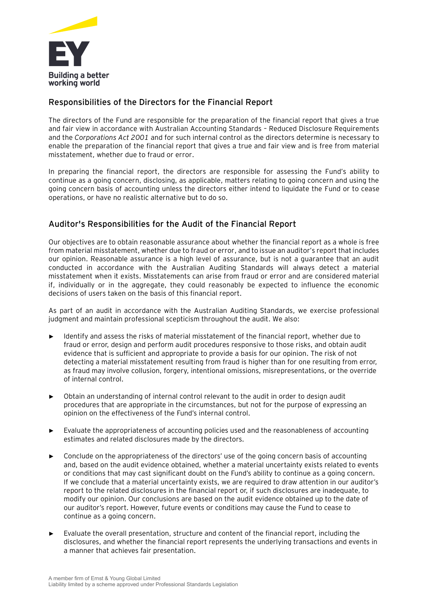

## Responsibilities of the Directors for the Financial Report

The directors of the Fund are responsible for the preparation of the financial report that gives a true and fair view in accordance with Australian Accounting Standards – Reduced Disclosure Requirements and the *Corporations Act 2001* and for such internal control as the directors determine is necessary to enable the preparation of the financial report that gives a true and fair view and is free from material misstatement, whether due to fraud or error.

In preparing the financial report, the directors are responsible for assessing the Fund's ability to continue as a going concern, disclosing, as applicable, matters relating to going concern and using the going concern basis of accounting unless the directors either intend to liquidate the Fund or to cease operations, or have no realistic alternative but to do so.

## Auditor's Responsibilities for the Audit of the Financial Report

Our objectives are to obtain reasonable assurance about whether the financial report as a whole is free from material misstatement, whether due to fraud or error, and to issue an auditor's report that includes our opinion. Reasonable assurance is a high level of assurance, but is not a guarantee that an audit conducted in accordance with the Australian Auditing Standards will always detect a material misstatement when it exists. Misstatements can arise from fraud or error and are considered material if, individually or in the aggregate, they could reasonably be expected to influence the economic decisions of users taken on the basis of this financial report.

As part of an audit in accordance with the Australian Auditing Standards, we exercise professional judgment and maintain professional scepticism throughout the audit. We also:

- Identify and assess the risks of material misstatement of the financial report, whether due to fraud or error, design and perform audit procedures responsive to those risks, and obtain audit evidence that is sufficient and appropriate to provide a basis for our opinion. The risk of not detecting a material misstatement resulting from fraud is higher than for one resulting from error, as fraud may involve collusion, forgery, intentional omissions, misrepresentations, or the override of internal control.
- ► Obtain an understanding of internal control relevant to the audit in order to design audit procedures that are appropriate in the circumstances, but not for the purpose of expressing an opinion on the effectiveness of the Fund's internal control.
- Evaluate the appropriateness of accounting policies used and the reasonableness of accounting estimates and related disclosures made by the directors.
- Conclude on the appropriateness of the directors' use of the going concern basis of accounting and, based on the audit evidence obtained, whether a material uncertainty exists related to events or conditions that may cast significant doubt on the Fund's ability to continue as a going concern. If we conclude that a material uncertainty exists, we are required to draw attention in our auditor's report to the related disclosures in the financial report or, if such disclosures are inadequate, to modify our opinion. Our conclusions are based on the audit evidence obtained up to the date of our auditor's report. However, future events or conditions may cause the Fund to cease to continue as a going concern.
- ► Evaluate the overall presentation, structure and content of the financial report, including the disclosures, and whether the financial report represents the underlying transactions and events in a manner that achieves fair presentation.